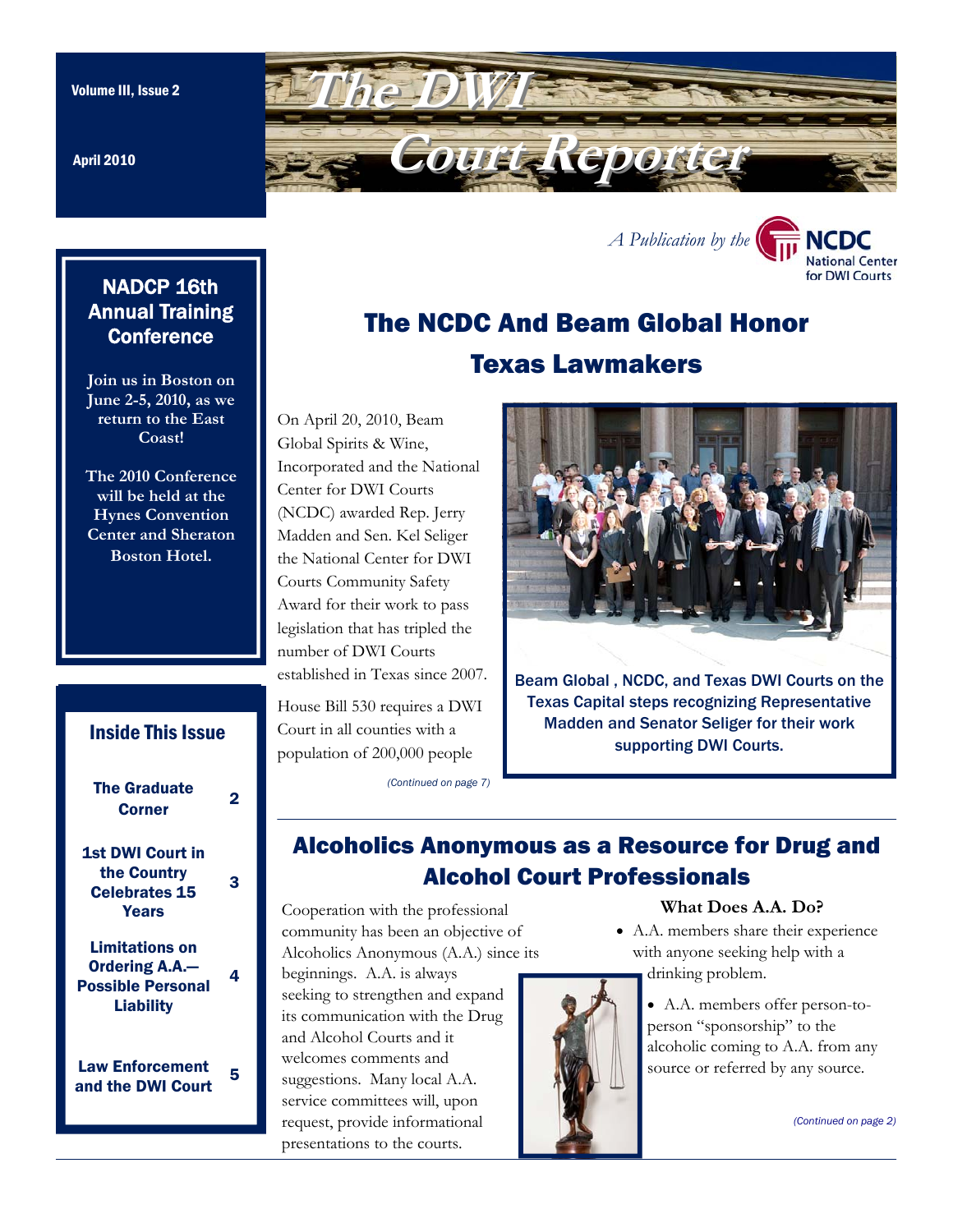April 2010

<span id="page-0-0"></span>

# **NADCP 16th** Annual Training **Conference**

**Join us in Boston on June 2-5, 2010, as we return to the East Coast!** 

**The 2010 Conference will be held at the Hynes Convention Center and Sheraton Boston Hotel.** 

# [The Graduate](#page-1-0)  Suite during the series of the 2 [1st DWI Court in](#page-2-0)  the Country Celebrates 15 **Years** 3 Limitations on Ordering A.A.— [Possible Personal](#page-3-0)  Liability 4 Law Enforcement Law Enforcement 5<br>and the DWI Court Inside This Issue

# The NCDC And Beam Global Honor Texas Lawmakers

On April 20, 2010, Beam Global Spirits & Wine, Incorporated and the National Center for DWI Courts (NCDC) awarded Rep. Jerry Madden and Sen. Kel Seliger the National Center for DWI Courts Community Safety Award for their work to pass legislation that has tripled the number of DWI Courts established in Texas since 2007.

House Bill 530 requires a DWI Court in all counties with a population of 200,000 people

*[\(Continued on page 7\)](#page-6-0)* 

*[A Publication by the](http://www.dwicourts.org/ncdc-home/)* 

NCDC **National Center** for DWI Courts

Beam Global , NCDC, and Texas DWI Courts on the Texas Capital steps recognizing Representative Madden and Senator Seliger for their work supporting DWI Courts.

# Alcoholics Anonymous as a Resource for Drug and Alcohol Court Professionals

Cooperation with the professional community has been an objective of Alcoholics Anonymous (A.A.) since its

beginnings. A.A. is always seeking to strengthen and expand its communication with the Drug and Alcohol Courts and it welcomes comments and suggestions. Many local A.A. service committees will, upon request, provide informational presentations to the courts.

### **What Does A.A. Do?**

- A.A. members share their experience with anyone seeking help with a drinking problem.
	- A.A. members offer person-toperson "sponsorship" to the alcoholic coming to A.A. from any source or referred by any source.

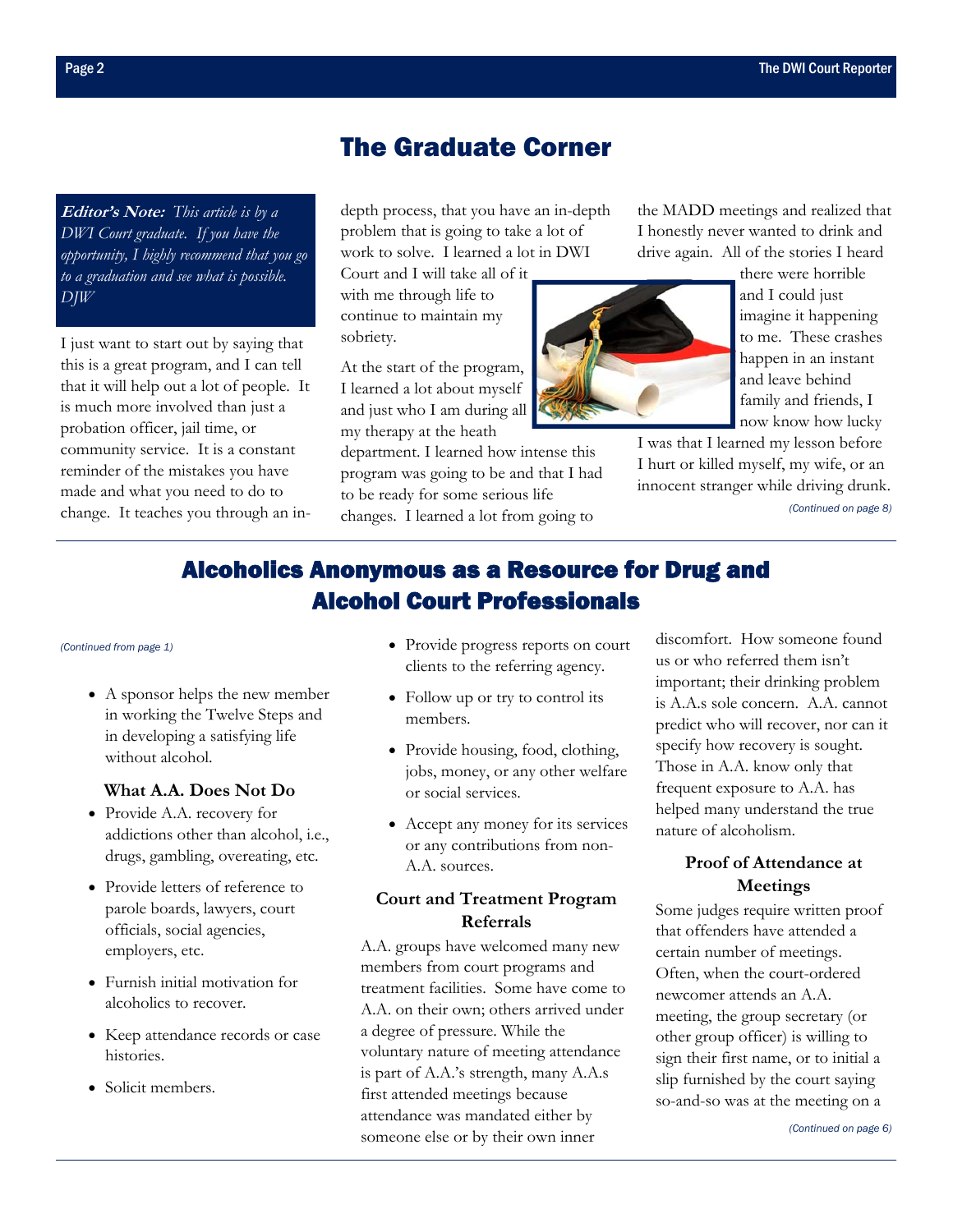# The Graduate Corner

<span id="page-1-0"></span>**Editor's Note:** *This article is by a DWI Court graduate. If you have the opportunity, I highly recommend that you go to a graduation and see what is possible. DJW* 

I just want to start out by saying that this is a great program, and I can tell that it will help out a lot of people. It is much more involved than just a probation officer, jail time, or community service. It is a constant reminder of the mistakes you have made and what you need to do to change. It teaches you through an indepth process, that you have an in-depth problem that is going to take a lot of work to solve. I learned a lot in DWI

Court and I will take all of it with me through life to continue to maintain my sobriety.

At the start of the program, I learned a lot about myself and just who I am during all my therapy at the heath

department. I learned how intense this program was going to be and that I had to be ready for some serious life changes. I learned a lot from going to

the MADD meetings and realized that I honestly never wanted to drink and drive again. All of the stories I heard



there were horrible and I could just imagine it happening to me. These crashes happen in an instant and leave behind family and friends, I now know how lucky

I was that I learned my lesson before I hurt or killed myself, my wife, or an innocent stranger while driving drunk.

*[\(Continued on page 8\)](#page-7-0)* 

# Alcoholics Anonymous as a Resource for Drug and Alcohol Court Professionals

• A sponsor helps the new member in working the Twelve Steps and in developing a satisfying life without alcohol.

### **What A.A. Does Not Do**

- Provide A.A. recovery for addictions other than alcohol, i.e., drugs, gambling, overeating, etc.
- Provide letters of reference to parole boards, lawyers, court officials, social agencies, employers, etc.
- Furnish initial motivation for alcoholics to recover.
- Keep attendance records or case histories.
- Solicit members.
- *[\(Continued from page 1\)](#page-0-0)*  Provide progress reports on court clients to the referring agency.
	- Follow up or try to control its members.
	- Provide housing, food, clothing, jobs, money, or any other welfare or social services.
	- Accept any money for its services or any contributions from non-A.A. sources.

### **Court and Treatment Program Referrals**

A.A. groups have welcomed many new members from court programs and treatment facilities. Some have come to A.A. on their own; others arrived under a degree of pressure. While the voluntary nature of meeting attendance is part of A.A.'s strength, many A.A.s first attended meetings because attendance was mandated either by someone else or by their own inner

discomfort. How someone found us or who referred them isn't important; their drinking problem is A.A.s sole concern. A.A. cannot predict who will recover, nor can it specify how recovery is sought. Those in A.A. know only that frequent exposure to A.A. has helped many understand the true nature of alcoholism.

### **Proof of Attendance at Meetings**

Some judges require written proof that offenders have attended a certain number of meetings. Often, when the court-ordered newcomer attends an A.A. meeting, the group secretary (or other group officer) is willing to sign their first name, or to initial a slip furnished by the court saying so-and-so was at [the meeting on a](#page-5-0)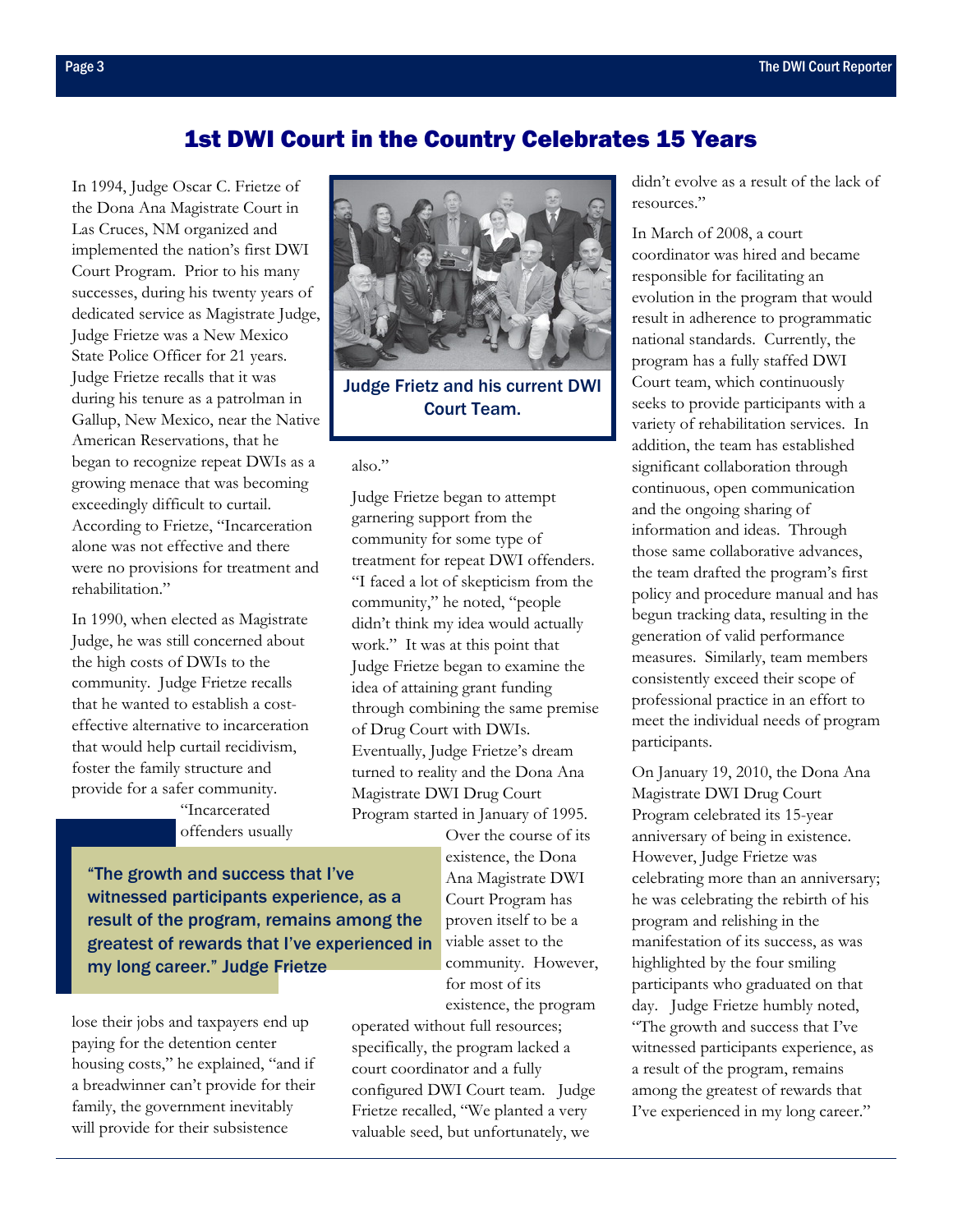## 1st DWI Court in the Country Celebrates 15 Years

<span id="page-2-0"></span>In 1994, Judge Oscar C. Frietze of the Dona Ana Magistrate Court in Las Cruces, NM organized and implemented the nation's first DWI Court Program. Prior to his many successes, during his twenty years of dedicated service as Magistrate Judge, Judge Frietze was a New Mexico State Police Officer for 21 years. Judge Frietze recalls that it was during his tenure as a patrolman in Gallup, New Mexico, near the Native American Reservations, that he began to recognize repeat DWIs as a growing menace that was becoming exceedingly difficult to curtail. According to Frietze, "Incarceration alone was not effective and there were no provisions for treatment and rehabilitation"

In 1990, when elected as Magistrate Judge, he was still concerned about the high costs of DWIs to the community. Judge Frietze recalls that he wanted to establish a costeffective alternative to incarceration that would help curtail recidivism, foster the family structure and provide for a safer community.

> "Incarcerated offenders usually

"The growth and success that I've witnessed participants experience, as a result of the program, remains among the greatest of rewards that I've experienced in my long career." Judge Frietze

lose their jobs and taxpayers end up paying for the detention center housing costs," he explained, "and if a breadwinner can't provide for their family, the government inevitably will provide for their subsistence



Judge Frietz and his current DWI Court Team.

### also."

Judge Frietze began to attempt garnering support from the community for some type of treatment for repeat DWI offenders. "I faced a lot of skepticism from the community," he noted, "people didn't think my idea would actually work." It was at this point that Judge Frietze began to examine the idea of attaining grant funding through combining the same premise of Drug Court with DWIs. Eventually, Judge Frietze's dream turned to reality and the Dona Ana Magistrate DWI Drug Court Program started in January of 1995.

Over the course of its existence, the Dona Ana Magistrate DWI Court Program has proven itself to be a viable asset to the community. However, for most of its existence, the program

operated without full resources; specifically, the program lacked a court coordinator and a fully configured DWI Court team. Judge Frietze recalled, "We planted a very valuable seed, but unfortunately, we

didn't evolve as a result of the lack of resources."

In March of 2008, a court coordinator was hired and became responsible for facilitating an evolution in the program that would result in adherence to programmatic national standards. Currently, the program has a fully staffed DWI Court team, which continuously seeks to provide participants with a variety of rehabilitation services. In addition, the team has established significant collaboration through continuous, open communication and the ongoing sharing of information and ideas. Through those same collaborative advances, the team drafted the program's first policy and procedure manual and has begun tracking data, resulting in the generation of valid performance measures. Similarly, team members consistently exceed their scope of professional practice in an effort to meet the individual needs of program participants.

On January 19, 2010, the Dona Ana Magistrate DWI Drug Court Program celebrated its 15-year anniversary of being in existence. However, Judge Frietze was celebrating more than an anniversary; he was celebrating the rebirth of his program and relishing in the manifestation of its success, as was highlighted by the four smiling participants who graduated on that day. Judge Frietze humbly noted, "The growth and success that I've witnessed participants experience, as a result of the program, remains among the greatest of rewards that I've experienced in my long career."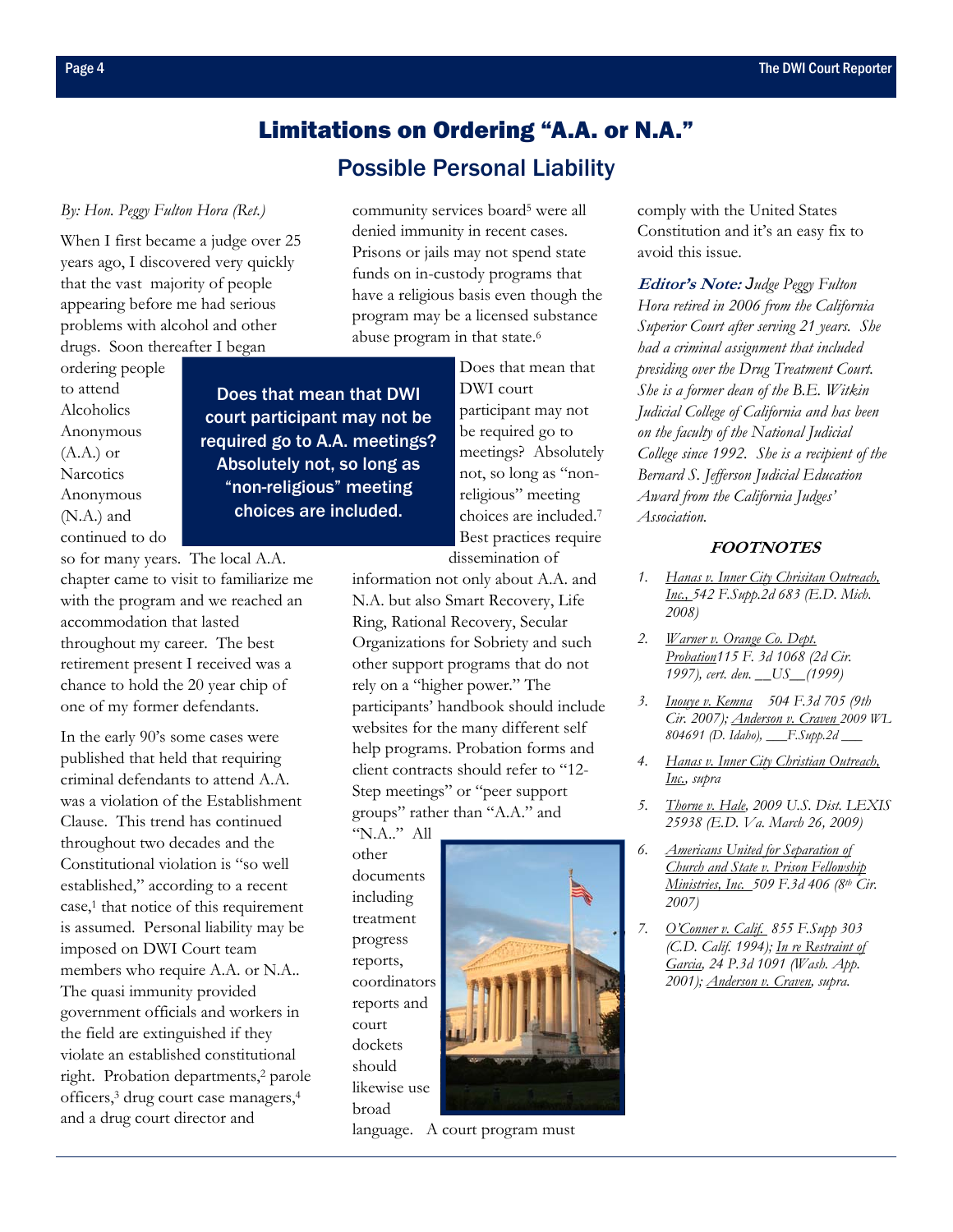# Limitations on Ordering "A.A. or N.A." Possible Personal Liability

### <span id="page-3-0"></span>*By: Hon. Peggy Fulton Hora (Ret.)*

When I first became a judge over 25 years ago, I discovered very quickly that the vast majority of people appearing before me had serious problems with alcohol and other drugs. Soon thereafter I began

ordering people to attend Alcoholics Anonymous  $(A.A.)$  or **Narcotics** Anonymous (N.A.) and continued to do

so for many years. The local A.A. chapter came to visit to familiarize me with the program and we reached an accommodation that lasted throughout my career. The best retirement present I received was a chance to hold the 20 year chip of one of my former defendants.

In the early 90's some cases were published that held that requiring criminal defendants to attend A.A. was a violation of the Establishment Clause. This trend has continued throughout two decades and the Constitutional violation is "so well established," according to a recent case,<sup>1</sup> that notice of this requirement is assumed. Personal liability may be imposed on DWI Court team members who require A.A. or N.A.. The quasi immunity provided government officials and workers in the field are extinguished if they violate an established constitutional right. Probation departments,2 parole officers,3 drug court case managers,4 and a drug court director and

community services board<sup>5</sup> were all denied immunity in recent cases. Prisons or jails may not spend state funds on in-custody programs that have a religious basis even though the program may be a licensed substance abuse program in that state.<sup>6</sup>

Does that mean that DWI court participant may not be required go to A.A. meetings? Absolutely not, so long as "non-religious" meeting choices are included.

Does that mean that DWI court participant may not be required go to meetings? Absolutely not, so long as "nonreligious" meeting choices are included.7 Best practices require dissemination of

information not only about A.A. and N.A. but also Smart Recovery, Life Ring, Rational Recovery, Secular Organizations for Sobriety and such other support programs that do not rely on a "higher power." The participants' handbook should include websites for the many different self help programs. Probation forms and client contracts should refer to "12- Step meetings" or "peer support groups" rather than "A.A." and

"N.A.." All other documents including treatment progress reports, coordinators reports and court dockets should likewise use broad



language. A court program must

comply with the United States Constitution and it's an easy fix to avoid this issue.

**Editor's Note:** *Judge Peggy Fulton Hora retired in 2006 from the California Superior Court after serving 21 years. She had a criminal assignment that included presiding over the Drug Treatment Court. She is a former dean of the B.E. Witkin Judicial College of California and has been on the faculty of the National Judicial College since 1992. She is a recipient of the Bernard S. Jefferson Judicial Education Award from the California Judges' Association.* 

### **FOOTNOTES**

- *1. Hanas v. Inner City Chrisitan Outreach, Inc., 542 F.Supp.2d 683 (E.D. Mich. 2008)*
- *2. Warner v. Orange Co. Dept. Probation115 F. 3d 1068 (2d Cir. 1997), cert. den.* **\_***\_US***\_\_***(1999)*
- *3. Inouye v. Kemna 504 F.3d 705 (9th Cir. 2007); Anderson v. Craven 2009 WL 804691 (D. Idaho), \_\_\_F.Supp.2d \_\_\_*
- *4. Hanas v. Inner City Christian Outreach, Inc., supra*
- *5. Thorne v. Hale, 2009 U.S. Dist. LEXIS 25938 (E.D. Va. March 26, 2009)*
- *6. Americans United for Separation of Church and State v. Prison Fellowship Ministries, Inc. 509 F.3d 406 (8th Cir. 2007)*
- *7. O'Conner v. Calif. 855 F.Supp 303 (C.D. Calif. 1994); In re Restraint of Garcia, 24 P.3d 1091 (Wash. App. 2001); Anderson v. Craven, supra.*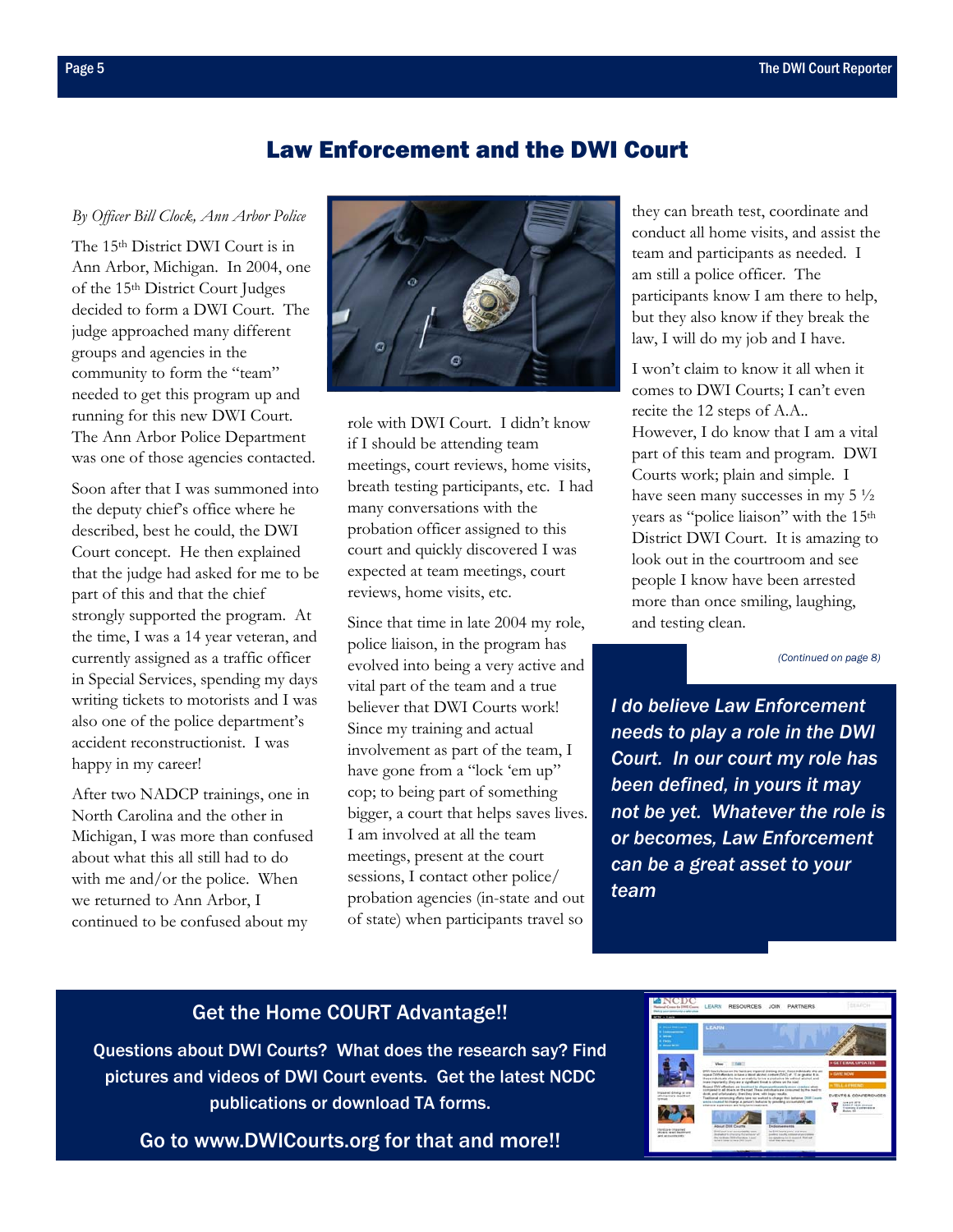### Law Enforcement and the DWI Court

### <span id="page-4-0"></span>*By Officer Bill Clock, Ann Arbor Police*

The 15th District DWI Court is in Ann Arbor, Michigan. In 2004, one of the 15th District Court Judges decided to form a DWI Court. The judge approached many different groups and agencies in the community to form the "team" needed to get this program up and running for this new DWI Court. The Ann Arbor Police Department was one of those agencies contacted.

Soon after that I was summoned into the deputy chief's office where he described, best he could, the DWI Court concept. He then explained that the judge had asked for me to be part of this and that the chief strongly supported the program. At the time, I was a 14 year veteran, and currently assigned as a traffic officer in Special Services, spending my days writing tickets to motorists and I was also one of the police department's accident reconstructionist. I was happy in my career!

After two NADCP trainings, one in North Carolina and the other in Michigan, I was more than confused about what this all still had to do with me and/or the police. When we returned to Ann Arbor, I continued to be confused about my



role with DWI Court. I didn't know if I should be attending team meetings, court reviews, home visits, breath testing participants, etc. I had many conversations with the probation officer assigned to this court and quickly discovered I was expected at team meetings, court reviews, home visits, etc.

Since that time in late 2004 my role, police liaison, in the program has evolved into being a very active and vital part of the team and a true believer that DWI Courts work! Since my training and actual involvement as part of the team, I have gone from a "lock 'em up" cop; to being part of something bigger, a court that helps saves lives. I am involved at all the team meetings, present at the court sessions, I contact other police/ probation agencies (in-state and out of state) when participants travel so

they can breath test, coordinate and conduct all home visits, and assist the team and participants as needed. I am still a police officer. The participants know I am there to help, but they also know if they break the law, I will do my job and I have.

I won't claim to know it all when it comes to DWI Courts; I can't even recite the 12 steps of A.A.. However, I do know that I am a vital part of this team and program. DWI Courts work; plain and simple. I have seen many successes in my  $5\frac{1}{2}$ years as "police liaison" with the 15th District DWI Court. It is amazing to look out in the courtroom and see people I know have been arrested more than once smiling, laughing, and testing clean.

*[\(Continued on page 8\)](#page-7-0)* 

*I do believe Law Enforcement needs to play a role in the DWI Court. In our court my role has been defined, in yours it may not be yet. Whatever the role is or becomes, Law Enforcement can be a great asset to your team*

## Get the Home COURT Advantage!!

Questions about DWI Courts? What does the research say? Find pictures and videos of DWI Court events. Get the latest NCDC publications or download TA forms.

[Go to www.DWICourts.org for that and more!!](http://www.dwicourts.org/ncdc-home/) 

| NCDC<br>nal Connective 1988 Common<br>a seur continunta a pateiratuse<br><b>CDC + Lawre</b>                                                                               | LEARN                                                                                                                                                                                                                                                                                                                                                                                                                                                                                                                                                                                                                                                                                                                                                                                                                                                                                                                                                                                                                                                                                                                                                                                                | RESOURCES JOIN<br><b>PARTNERS</b> |                                                                                                                                                                                                  |
|---------------------------------------------------------------------------------------------------------------------------------------------------------------------------|------------------------------------------------------------------------------------------------------------------------------------------------------------------------------------------------------------------------------------------------------------------------------------------------------------------------------------------------------------------------------------------------------------------------------------------------------------------------------------------------------------------------------------------------------------------------------------------------------------------------------------------------------------------------------------------------------------------------------------------------------------------------------------------------------------------------------------------------------------------------------------------------------------------------------------------------------------------------------------------------------------------------------------------------------------------------------------------------------------------------------------------------------------------------------------------------------|-----------------------------------|--------------------------------------------------------------------------------------------------------------------------------------------------------------------------------------------------|
| <b>Change State Lowers</b><br><b>Lancescow</b><br><b>Charles Co.</b><br><b>CONTROL</b><br><b><i>Change Miller</i></b>                                                     | LEARN                                                                                                                                                                                                                                                                                                                                                                                                                                                                                                                                                                                                                                                                                                                                                                                                                                                                                                                                                                                                                                                                                                                                                                                                |                                   |                                                                                                                                                                                                  |
| Interested division or year.<br>of America's deadless!<br><b>WITHOUT</b><br><b><i><u>Send cars (maximal</u></i></b><br><b>BOIAIA NAME PAINTAIN</b><br>abol accounts tutte | Vici<br>T. STANS<br>DW Courts fancs on the hardcure impaired distring tituer, these industrials also are<br>scalar book in the Colly well and a series and a water and with William and<br>these industrials who have an matchin fortun a productive big sellings attacked, and<br>more importantly. Day are a significant throat to others on the nise?<br>Report DVA effordars are toristived to disprogramisationly more combey about<br>comparation all drivers on the road. These industries are consumed by the meet to<br>duck, and artisticately. See they drive with trage results.<br>Trailineal centersies effats have not warked to change their lathania. DISI County<br>were cleared to change a person's behavior by precising accountability with<br>elleraire signification and king bein basement.<br><b>Hoour Drint County</b><br>Endorsements<br>first Court is an accountable, source<br>An Artificians grow, and some-<br>instruments of the company that best party of<br>position from the contemporary of press<br>and detailers lived in durantial. Most suit.<br>the fundamental detailed and a higher<br>arted it to pay to see a first front.<br>wind their box-basics. |                                   | <b>&gt;GETEMAL UPDATES</b><br>> GANT MOVE<br><b>TELL A PHENO</b><br>EVENTS & CONFERENCES<br><b><i>USA AIR ARTS</i></b><br><b>BARCH HOR Account</b><br><b>Training Exchangers</b><br>Broken Allen |
|                                                                                                                                                                           |                                                                                                                                                                                                                                                                                                                                                                                                                                                                                                                                                                                                                                                                                                                                                                                                                                                                                                                                                                                                                                                                                                                                                                                                      |                                   |                                                                                                                                                                                                  |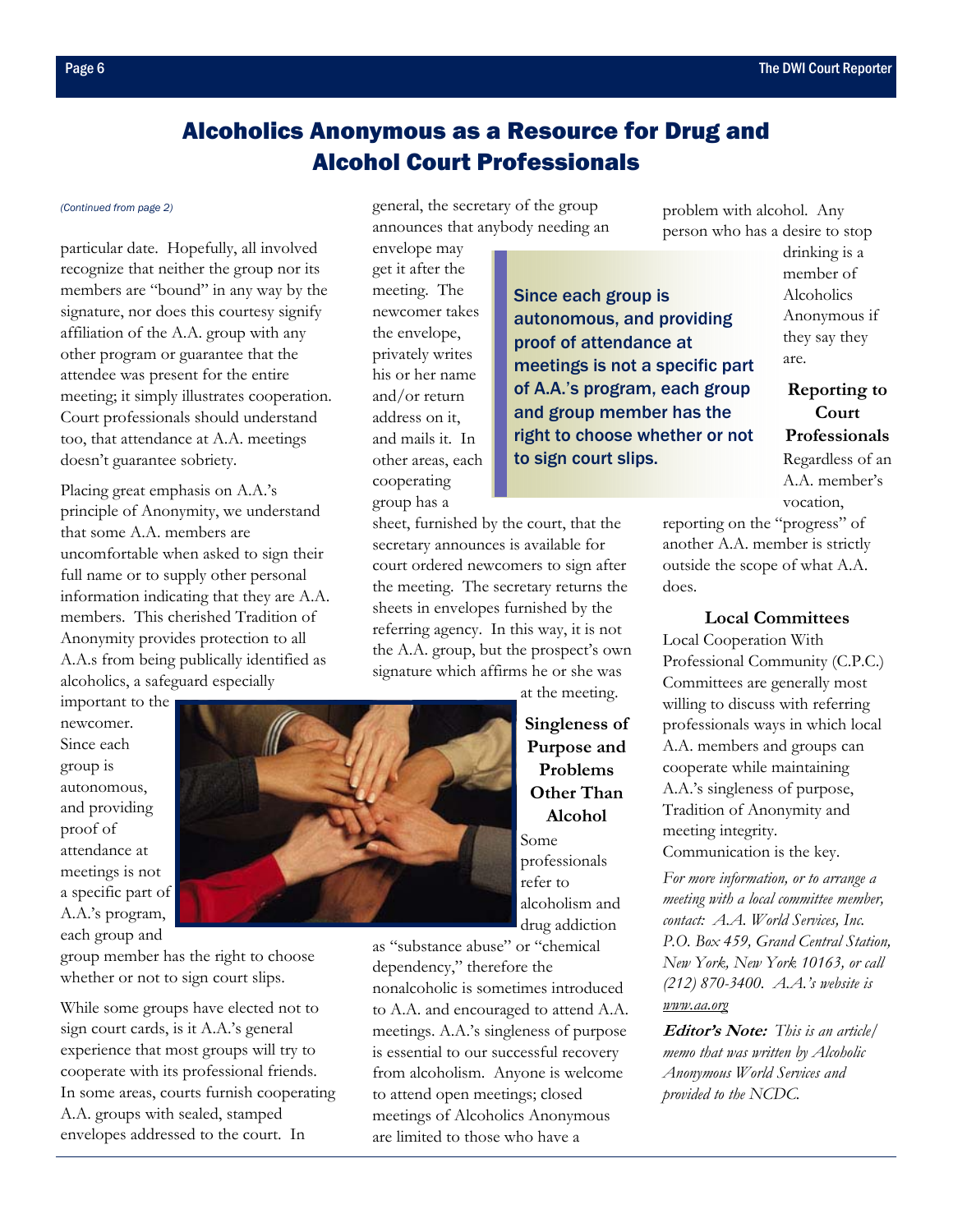# Alcoholics Anonymous as a Resource for Drug and Alcohol Court Professionals

#### <span id="page-5-0"></span>*[\(Continued from page 2\)](#page-1-0)*

particular date. Hopefully, all involved recognize that neither the group nor its members are "bound" in any way by the signature, nor does this courtesy signify affiliation of the A.A. group with any other program or guarantee that the attendee was present for the entire meeting; it simply illustrates cooperation. Court professionals should understand too, that attendance at A.A. meetings doesn't guarantee sobriety.

Placing great emphasis on A.A.'s principle of Anonymity, we understand that some A.A. members are uncomfortable when asked to sign their full name or to supply other personal information indicating that they are A.A. members. This cherished Tradition of Anonymity provides protection to all A.A.s from being publically identified as alcoholics, a safeguard especially

important to the newcomer. Since each group is autonomous, and providing proof of attendance at meetings is not a specific part of A.A.'s program, each group and

group member has the right to choose whether or not to sign court slips.

While some groups have elected not to sign court cards, is it A.A.'s general experience that most groups will try to cooperate with its professional friends. In some areas, courts furnish cooperating A.A. groups with sealed, stamped envelopes addressed to the court. In

general, the secretary of the group announces that anybody needing an

envelope may get it after the meeting. The newcomer takes the envelope, privately writes his or her name and/or return address on it, and mails it. In other areas, each cooperating group has a

Since each group is autonomous, and providing proof of attendance at meetings is not a specific part of A.A.'s program, each group and group member has the right to choose whether or not to sign court slips.

sheet, furnished by the court, that the secretary announces is available for court ordered newcomers to sign after the meeting. The secretary returns the sheets in envelopes furnished by the referring agency. In this way, it is not the A.A. group, but the prospect's own signature which affirms he or she was

problem with alcohol. Any person who has a desire to stop

are.

drinking is a member of Alcoholics Anonymous if they say they

**Reporting to Court Professionals**  Regardless of an A.A. member's vocation,

reporting on the "progress" of another A.A. member is strictly outside the scope of what A.A. does.

**Local Committees** 

Local Cooperation With Professional Community (C.P.C.) Committees are generally most willing to discuss with referring professionals ways in which local A.A. members and groups can cooperate while maintaining A.A.'s singleness of purpose, Tradition of Anonymity and meeting integrity. Communication is the key.

*For more information, or to arrange a meeting with a local committee member, contact: A.A. World Services, Inc. P.O. Box 459, Grand Central Station, New York, New York 10163, or call (212) 870-3400. A.A.'s website is www.aa.org*

**Editor's Note:** *This is an article/ memo that was written by Alcoholic Anonymous World Services and provided to the NCDC.* 



**Purpose and Problems Other Than Alcohol**  Some professionals refer to alcoholism and drug addiction as "substance abuse" or "chemical

dependency," therefore the nonalcoholic is sometimes introduced to A.A. and encouraged to attend A.A. meetings. A.A.'s singleness of purpose is essential to our successful recovery from alcoholism. Anyone is welcome to attend open meetings; closed meetings of Alcoholics Anonymous are limited to those who have a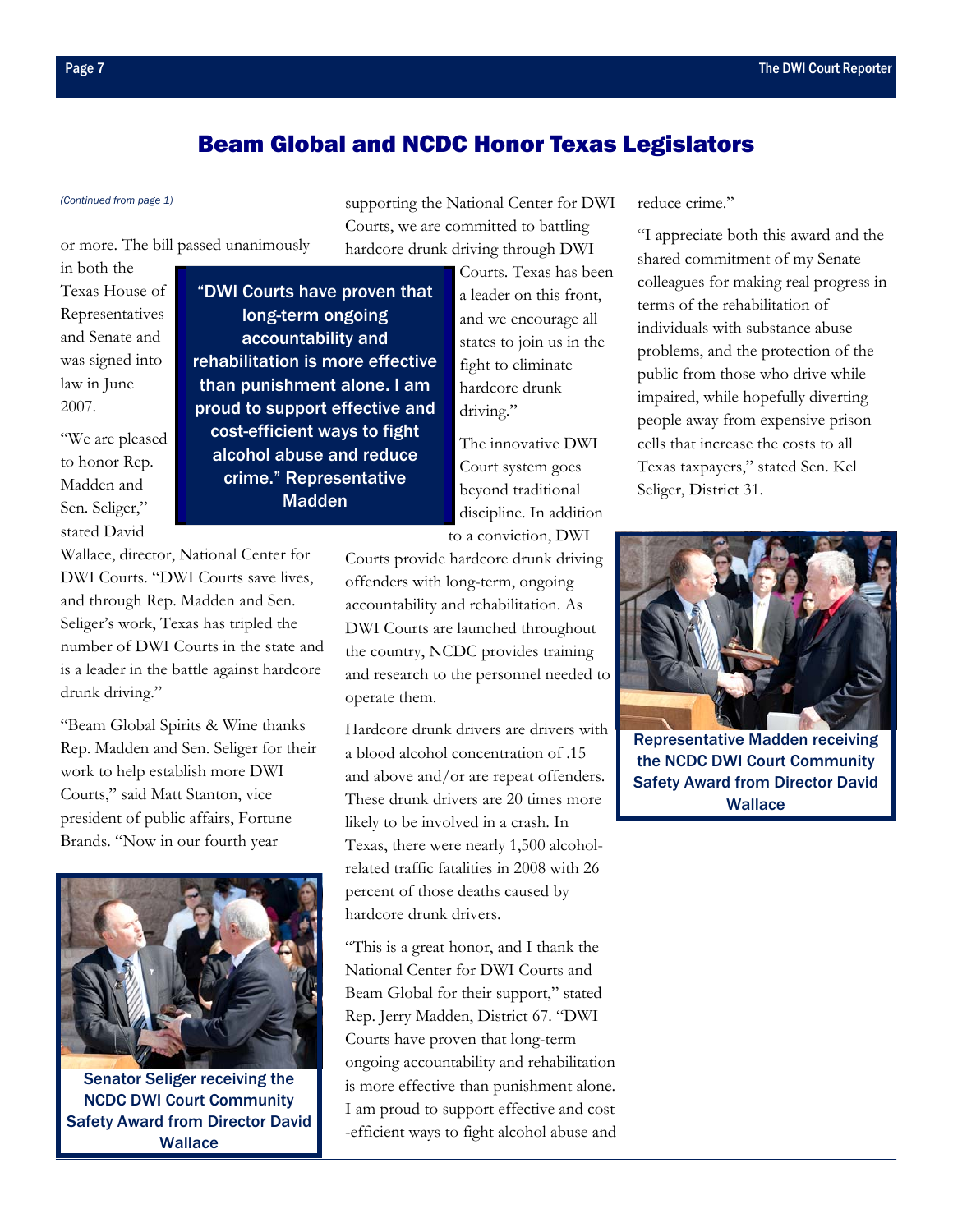## Beam Global and NCDC Honor Texas Legislators

### <span id="page-6-0"></span>*[\(Continued from page 1\)](#page-0-0)* supporting the National Center for DWI

or more. The bill passed unanimously

Wallace, director, National Center for DWI Courts. "DWI Courts save lives, and through Rep. Madden and Sen. Seliger's work, Texas has tripled the number of DWI Courts in the state and is a leader in the battle against hardcore

"Beam Global Spirits & Wine thanks Rep. Madden and Sen. Seliger for their work to help establish more DWI Courts," said Matt Stanton, vice president of public affairs, Fortune

in both the Texas House of Representatives and Senate and was signed into law in June 2007.

"We are pleased to honor Rep. Madden and Sen. Seliger," stated David

drunk driving."

"DWI Courts have proven that long-term ongoing accountability and rehabilitation is more effective than punishment alone. I am proud to support effective and cost-efficient ways to fight alcohol abuse and reduce crime." Representative Madden

Courts, we are committed to battling hardcore drunk driving through DWI Courts. Texas has been a leader on this front,

and we encourage all states to join us in the fight to eliminate hardcore drunk driving."

The innovative DWI Court system goes beyond traditional discipline. In addition to a conviction, DWI

Courts provide hardcore drunk driving offenders with long-term, ongoing accountability and rehabilitation. As DWI Courts are launched throughout the country, NCDC provides training and research to the personnel needed to operate them.

Hardcore drunk drivers are drivers with a blood alcohol concentration of .15 and above and/or are repeat offenders. These drunk drivers are 20 times more likely to be involved in a crash. In Texas, there were nearly 1,500 alcoholrelated traffic fatalities in 2008 with 26 percent of those deaths caused by hardcore drunk drivers.

"This is a great honor, and I thank the National Center for DWI Courts and Beam Global for their support," stated Rep. Jerry Madden, District 67. "DWI Courts have proven that long-term ongoing accountability and rehabilitation is more effective than punishment alone. I am proud to support effective and cost -efficient ways to fight alcohol abuse and reduce crime"

"I appreciate both this award and the shared commitment of my Senate colleagues for making real progress in terms of the rehabilitation of individuals with substance abuse problems, and the protection of the public from those who drive while impaired, while hopefully diverting people away from expensive prison cells that increase the costs to all Texas taxpayers," stated Sen. Kel Seliger, District 31.

Representative Madden receiving the NCDC DWI Court Community Safety Award from Director David

**Wallace** 



Senator Seliger receiving the NCDC DWI Court Community Safety Award from Director David **Wallace**